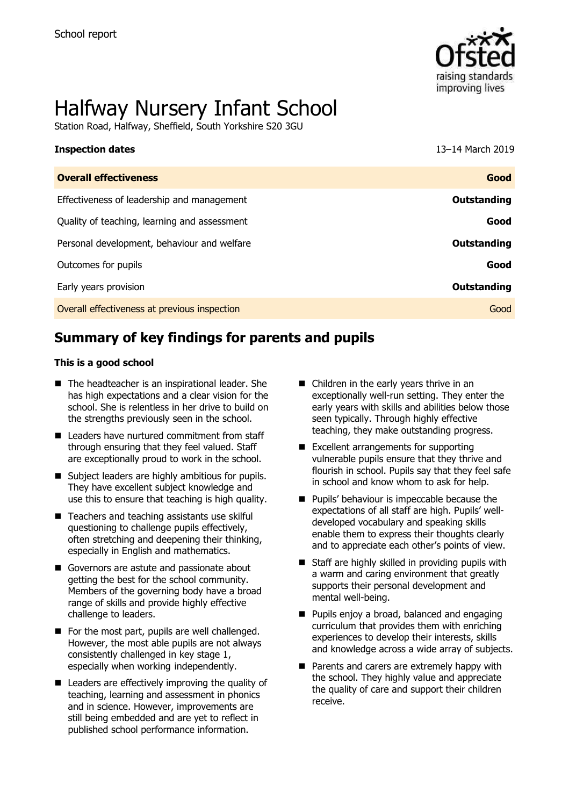

# Halfway Nursery Infant School

Station Road, Halfway, Sheffield, South Yorkshire S20 3GU

| <b>Inspection dates</b>                      | 13-14 March 2019 |
|----------------------------------------------|------------------|
| <b>Overall effectiveness</b>                 | Good             |
| Effectiveness of leadership and management   | Outstanding      |
| Quality of teaching, learning and assessment | Good             |
| Personal development, behaviour and welfare  | Outstanding      |
| Outcomes for pupils                          | Good             |
| Early years provision                        | Outstanding      |
| Overall effectiveness at previous inspection | Good             |

# **Summary of key findings for parents and pupils**

#### **This is a good school**

- The headteacher is an inspirational leader. She has high expectations and a clear vision for the school. She is relentless in her drive to build on the strengths previously seen in the school.
- Leaders have nurtured commitment from staff through ensuring that they feel valued. Staff are exceptionally proud to work in the school.
- Subject leaders are highly ambitious for pupils. They have excellent subject knowledge and use this to ensure that teaching is high quality.
- Teachers and teaching assistants use skilful questioning to challenge pupils effectively, often stretching and deepening their thinking, especially in English and mathematics.
- Governors are astute and passionate about getting the best for the school community. Members of the governing body have a broad range of skills and provide highly effective challenge to leaders.
- For the most part, pupils are well challenged. However, the most able pupils are not always consistently challenged in key stage 1, especially when working independently.
- Leaders are effectively improving the quality of teaching, learning and assessment in phonics and in science. However, improvements are still being embedded and are yet to reflect in published school performance information.
- Children in the early years thrive in an exceptionally well-run setting. They enter the early years with skills and abilities below those seen typically. Through highly effective teaching, they make outstanding progress.
- Excellent arrangements for supporting vulnerable pupils ensure that they thrive and flourish in school. Pupils say that they feel safe in school and know whom to ask for help.
- Pupils' behaviour is impeccable because the expectations of all staff are high. Pupils' welldeveloped vocabulary and speaking skills enable them to express their thoughts clearly and to appreciate each other's points of view.
- Staff are highly skilled in providing pupils with a warm and caring environment that greatly supports their personal development and mental well-being.
- Pupils enjoy a broad, balanced and engaging curriculum that provides them with enriching experiences to develop their interests, skills and knowledge across a wide array of subjects.
- Parents and carers are extremely happy with the school. They highly value and appreciate the quality of care and support their children receive.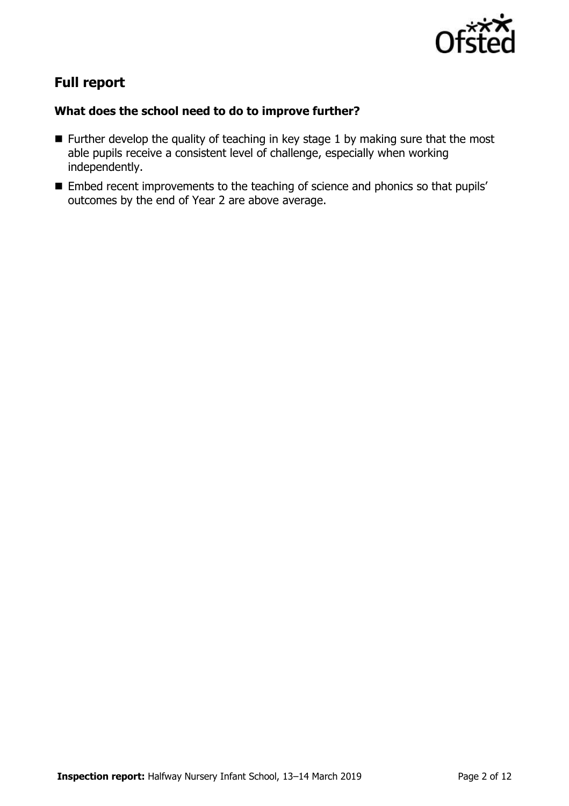

# **Full report**

### **What does the school need to do to improve further?**

- Further develop the quality of teaching in key stage 1 by making sure that the most able pupils receive a consistent level of challenge, especially when working independently.
- Embed recent improvements to the teaching of science and phonics so that pupils' outcomes by the end of Year 2 are above average.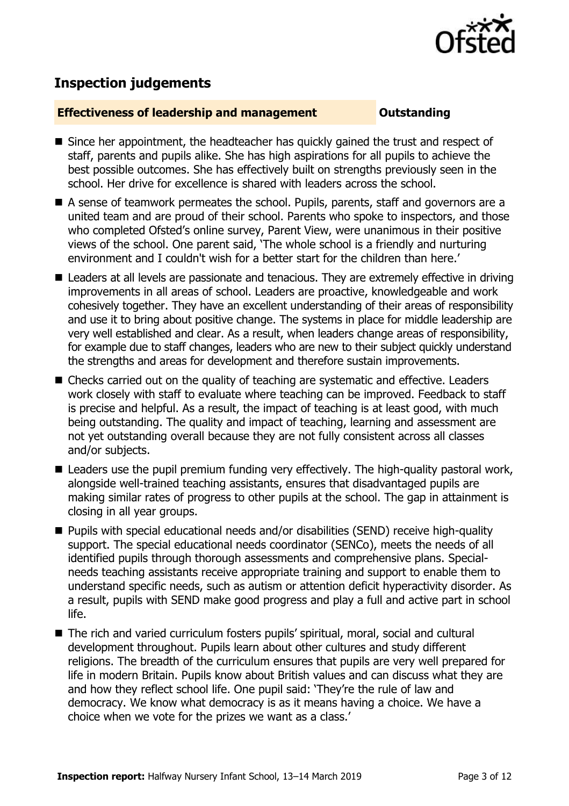

# **Inspection judgements**

#### **Effectiveness of leadership and management Cultum Outstanding**

- Since her appointment, the headteacher has quickly gained the trust and respect of staff, parents and pupils alike. She has high aspirations for all pupils to achieve the best possible outcomes. She has effectively built on strengths previously seen in the school. Her drive for excellence is shared with leaders across the school.
- A sense of teamwork permeates the school. Pupils, parents, staff and governors are a united team and are proud of their school. Parents who spoke to inspectors, and those who completed Ofsted's online survey, Parent View, were unanimous in their positive views of the school. One parent said, 'The whole school is a friendly and nurturing environment and I couldn't wish for a better start for the children than here.'
- Leaders at all levels are passionate and tenacious. They are extremely effective in driving improvements in all areas of school. Leaders are proactive, knowledgeable and work cohesively together. They have an excellent understanding of their areas of responsibility and use it to bring about positive change. The systems in place for middle leadership are very well established and clear. As a result, when leaders change areas of responsibility, for example due to staff changes, leaders who are new to their subject quickly understand the strengths and areas for development and therefore sustain improvements.
- Checks carried out on the quality of teaching are systematic and effective. Leaders work closely with staff to evaluate where teaching can be improved. Feedback to staff is precise and helpful. As a result, the impact of teaching is at least good, with much being outstanding. The quality and impact of teaching, learning and assessment are not yet outstanding overall because they are not fully consistent across all classes and/or subjects.
- Leaders use the pupil premium funding very effectively. The high-quality pastoral work, alongside well-trained teaching assistants, ensures that disadvantaged pupils are making similar rates of progress to other pupils at the school. The gap in attainment is closing in all year groups.
- Pupils with special educational needs and/or disabilities (SEND) receive high-quality support. The special educational needs coordinator (SENCo), meets the needs of all identified pupils through thorough assessments and comprehensive plans. Specialneeds teaching assistants receive appropriate training and support to enable them to understand specific needs, such as autism or attention deficit hyperactivity disorder. As a result, pupils with SEND make good progress and play a full and active part in school life.
- The rich and varied curriculum fosters pupils' spiritual, moral, social and cultural development throughout. Pupils learn about other cultures and study different religions. The breadth of the curriculum ensures that pupils are very well prepared for life in modern Britain. Pupils know about British values and can discuss what they are and how they reflect school life. One pupil said: 'They're the rule of law and democracy. We know what democracy is as it means having a choice. We have a choice when we vote for the prizes we want as a class.'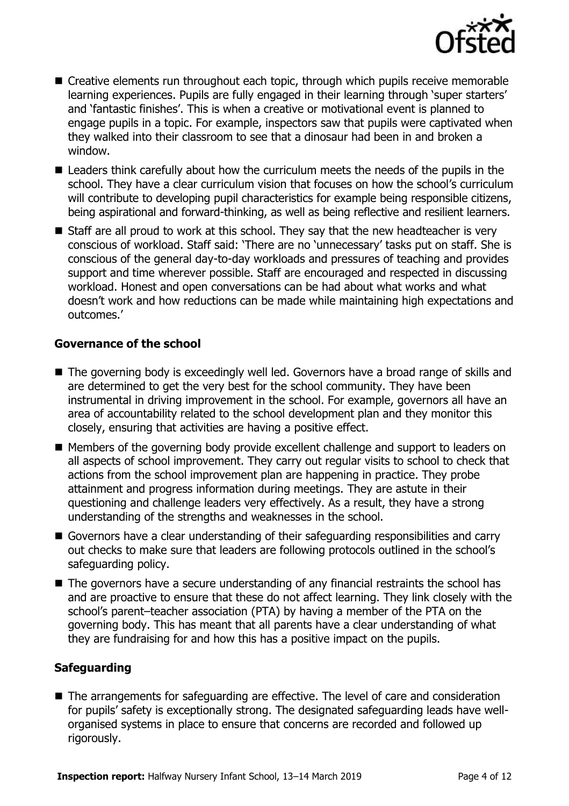

- Creative elements run throughout each topic, through which pupils receive memorable learning experiences. Pupils are fully engaged in their learning through 'super starters' and 'fantastic finishes'. This is when a creative or motivational event is planned to engage pupils in a topic. For example, inspectors saw that pupils were captivated when they walked into their classroom to see that a dinosaur had been in and broken a window.
- Leaders think carefully about how the curriculum meets the needs of the pupils in the school. They have a clear curriculum vision that focuses on how the school's curriculum will contribute to developing pupil characteristics for example being responsible citizens, being aspirational and forward-thinking, as well as being reflective and resilient learners.
- Staff are all proud to work at this school. They say that the new headteacher is very conscious of workload. Staff said: 'There are no 'unnecessary' tasks put on staff. She is conscious of the general day-to-day workloads and pressures of teaching and provides support and time wherever possible. Staff are encouraged and respected in discussing workload. Honest and open conversations can be had about what works and what doesn't work and how reductions can be made while maintaining high expectations and outcomes.'

#### **Governance of the school**

- The governing body is exceedingly well led. Governors have a broad range of skills and are determined to get the very best for the school community. They have been instrumental in driving improvement in the school. For example, governors all have an area of accountability related to the school development plan and they monitor this closely, ensuring that activities are having a positive effect.
- Members of the governing body provide excellent challenge and support to leaders on all aspects of school improvement. They carry out regular visits to school to check that actions from the school improvement plan are happening in practice. They probe attainment and progress information during meetings. They are astute in their questioning and challenge leaders very effectively. As a result, they have a strong understanding of the strengths and weaknesses in the school.
- Governors have a clear understanding of their safeguarding responsibilities and carry out checks to make sure that leaders are following protocols outlined in the school's safeguarding policy.
- The governors have a secure understanding of any financial restraints the school has and are proactive to ensure that these do not affect learning. They link closely with the school's parent–teacher association (PTA) by having a member of the PTA on the governing body. This has meant that all parents have a clear understanding of what they are fundraising for and how this has a positive impact on the pupils.

### **Safeguarding**

■ The arrangements for safeguarding are effective. The level of care and consideration for pupils' safety is exceptionally strong. The designated safeguarding leads have wellorganised systems in place to ensure that concerns are recorded and followed up rigorously.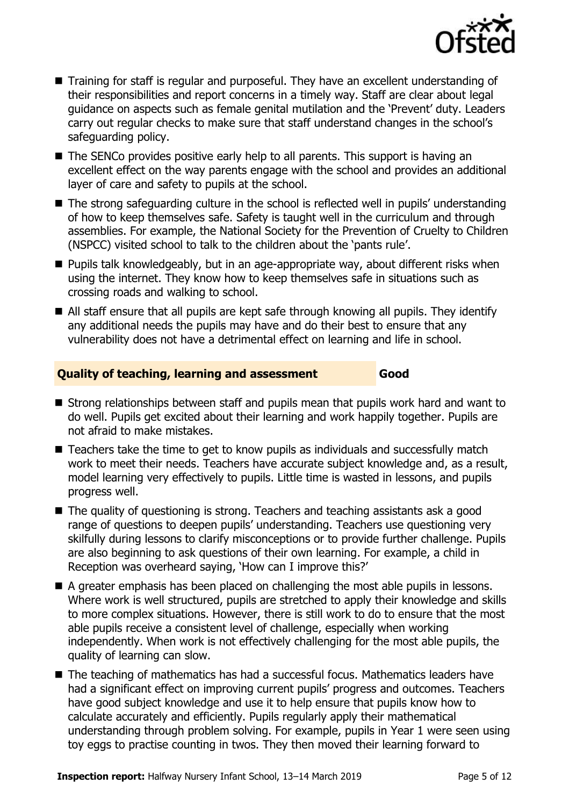

- Training for staff is regular and purposeful. They have an excellent understanding of their responsibilities and report concerns in a timely way. Staff are clear about legal guidance on aspects such as female genital mutilation and the 'Prevent' duty. Leaders carry out regular checks to make sure that staff understand changes in the school's safeguarding policy.
- The SENCo provides positive early help to all parents. This support is having an excellent effect on the way parents engage with the school and provides an additional layer of care and safety to pupils at the school.
- The strong safeguarding culture in the school is reflected well in pupils' understanding of how to keep themselves safe. Safety is taught well in the curriculum and through assemblies. For example, the National Society for the Prevention of Cruelty to Children (NSPCC) visited school to talk to the children about the 'pants rule'.
- Pupils talk knowledgeably, but in an age-appropriate way, about different risks when using the internet. They know how to keep themselves safe in situations such as crossing roads and walking to school.
- All staff ensure that all pupils are kept safe through knowing all pupils. They identify any additional needs the pupils may have and do their best to ensure that any vulnerability does not have a detrimental effect on learning and life in school.

### **Quality of teaching, learning and assessment Good**

- Strong relationships between staff and pupils mean that pupils work hard and want to do well. Pupils get excited about their learning and work happily together. Pupils are not afraid to make mistakes.
- Teachers take the time to get to know pupils as individuals and successfully match work to meet their needs. Teachers have accurate subject knowledge and, as a result, model learning very effectively to pupils. Little time is wasted in lessons, and pupils progress well.
- The quality of questioning is strong. Teachers and teaching assistants ask a good range of questions to deepen pupils' understanding. Teachers use questioning very skilfully during lessons to clarify misconceptions or to provide further challenge. Pupils are also beginning to ask questions of their own learning. For example, a child in Reception was overheard saying, 'How can I improve this?'
- A greater emphasis has been placed on challenging the most able pupils in lessons. Where work is well structured, pupils are stretched to apply their knowledge and skills to more complex situations. However, there is still work to do to ensure that the most able pupils receive a consistent level of challenge, especially when working independently. When work is not effectively challenging for the most able pupils, the quality of learning can slow.
- The teaching of mathematics has had a successful focus. Mathematics leaders have had a significant effect on improving current pupils' progress and outcomes. Teachers have good subject knowledge and use it to help ensure that pupils know how to calculate accurately and efficiently. Pupils regularly apply their mathematical understanding through problem solving. For example, pupils in Year 1 were seen using toy eggs to practise counting in twos. They then moved their learning forward to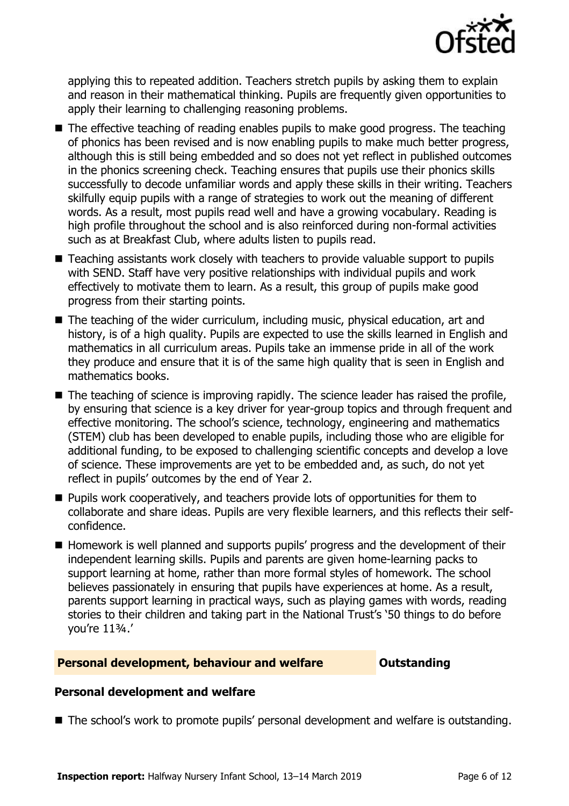

applying this to repeated addition. Teachers stretch pupils by asking them to explain and reason in their mathematical thinking. Pupils are frequently given opportunities to apply their learning to challenging reasoning problems.

- The effective teaching of reading enables pupils to make good progress. The teaching of phonics has been revised and is now enabling pupils to make much better progress, although this is still being embedded and so does not yet reflect in published outcomes in the phonics screening check. Teaching ensures that pupils use their phonics skills successfully to decode unfamiliar words and apply these skills in their writing. Teachers skilfully equip pupils with a range of strategies to work out the meaning of different words. As a result, most pupils read well and have a growing vocabulary. Reading is high profile throughout the school and is also reinforced during non-formal activities such as at Breakfast Club, where adults listen to pupils read.
- Teaching assistants work closely with teachers to provide valuable support to pupils with SEND. Staff have very positive relationships with individual pupils and work effectively to motivate them to learn. As a result, this group of pupils make good progress from their starting points.
- The teaching of the wider curriculum, including music, physical education, art and history, is of a high quality. Pupils are expected to use the skills learned in English and mathematics in all curriculum areas. Pupils take an immense pride in all of the work they produce and ensure that it is of the same high quality that is seen in English and mathematics books.
- $\blacksquare$  The teaching of science is improving rapidly. The science leader has raised the profile, by ensuring that science is a key driver for year-group topics and through frequent and effective monitoring. The school's science, technology, engineering and mathematics (STEM) club has been developed to enable pupils, including those who are eligible for additional funding, to be exposed to challenging scientific concepts and develop a love of science. These improvements are yet to be embedded and, as such, do not yet reflect in pupils' outcomes by the end of Year 2.
- Pupils work cooperatively, and teachers provide lots of opportunities for them to collaborate and share ideas. Pupils are very flexible learners, and this reflects their selfconfidence.
- Homework is well planned and supports pupils' progress and the development of their independent learning skills. Pupils and parents are given home-learning packs to support learning at home, rather than more formal styles of homework. The school believes passionately in ensuring that pupils have experiences at home. As a result, parents support learning in practical ways, such as playing games with words, reading stories to their children and taking part in the National Trust's '50 things to do before you're 11¾.'

#### **Personal development, behaviour and welfare <b>COUTS** Outstanding

### **Personal development and welfare**

■ The school's work to promote pupils' personal development and welfare is outstanding.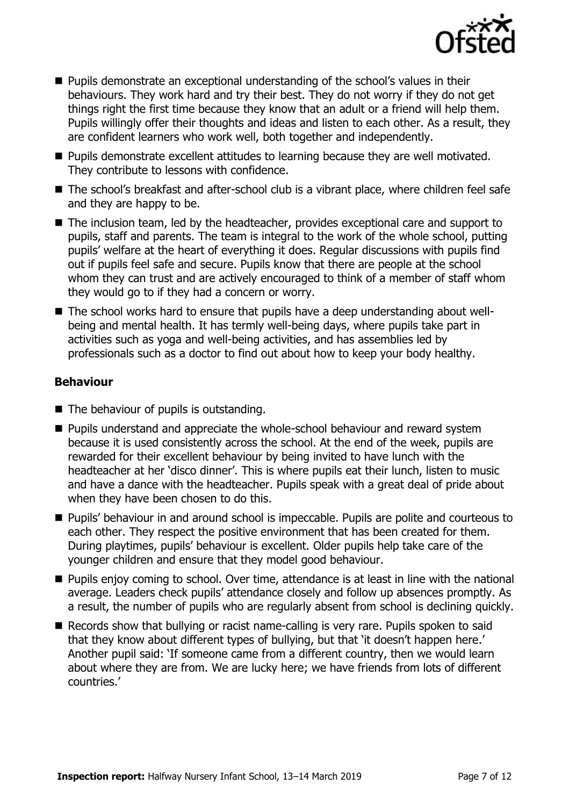

- Pupils demonstrate an exceptional understanding of the school's values in their behaviours. They work hard and try their best. They do not worry if they do not get things right the first time because they know that an adult or a friend will help them. Pupils willingly offer their thoughts and ideas and listen to each other. As a result, they are confident learners who work well, both together and independently.
- Pupils demonstrate excellent attitudes to learning because they are well motivated. They contribute to lessons with confidence.
- The school's breakfast and after-school club is a vibrant place, where children feel safe and they are happy to be.
- The inclusion team, led by the headteacher, provides exceptional care and support to pupils, staff and parents. The team is integral to the work of the whole school, putting pupils' welfare at the heart of everything it does. Regular discussions with pupils find out if pupils feel safe and secure. Pupils know that there are people at the school whom they can trust and are actively encouraged to think of a member of staff whom they would go to if they had a concern or worry.
- The school works hard to ensure that pupils have a deep understanding about wellbeing and mental health. It has termly well-being days, where pupils take part in activities such as yoga and well-being activities, and has assemblies led by professionals such as a doctor to find out about how to keep your body healthy.

### **Behaviour**

- The behaviour of pupils is outstanding.
- Pupils understand and appreciate the whole-school behaviour and reward system because it is used consistently across the school. At the end of the week, pupils are rewarded for their excellent behaviour by being invited to have lunch with the headteacher at her 'disco dinner'. This is where pupils eat their lunch, listen to music and have a dance with the headteacher. Pupils speak with a great deal of pride about when they have been chosen to do this.
- Pupils' behaviour in and around school is impeccable. Pupils are polite and courteous to each other. They respect the positive environment that has been created for them. During playtimes, pupils' behaviour is excellent. Older pupils help take care of the younger children and ensure that they model good behaviour.
- Pupils enjoy coming to school. Over time, attendance is at least in line with the national average. Leaders check pupils' attendance closely and follow up absences promptly. As a result, the number of pupils who are regularly absent from school is declining quickly.
- Records show that bullying or racist name-calling is very rare. Pupils spoken to said that they know about different types of bullying, but that 'it doesn't happen here.' Another pupil said: 'If someone came from a different country, then we would learn about where they are from. We are lucky here; we have friends from lots of different countries.'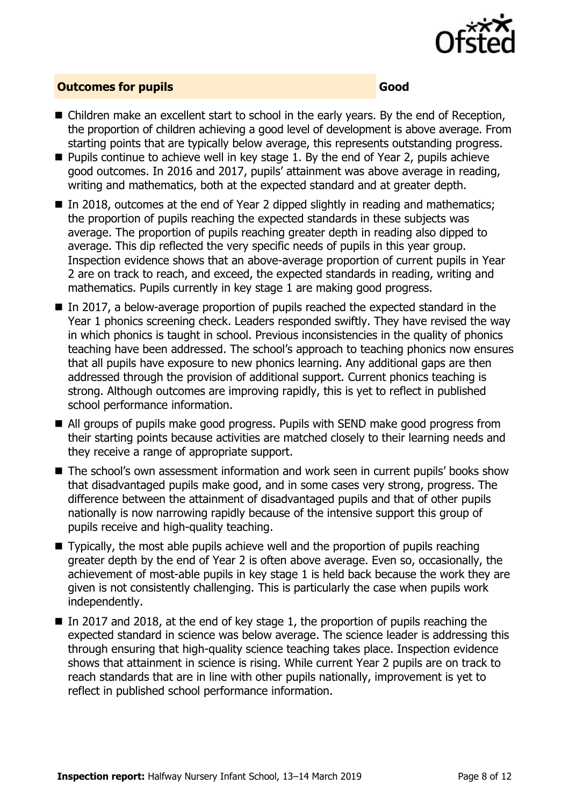

#### **Outcomes for pupils Good**

- Children make an excellent start to school in the early years. By the end of Reception, the proportion of children achieving a good level of development is above average. From starting points that are typically below average, this represents outstanding progress.
- Pupils continue to achieve well in key stage 1. By the end of Year 2, pupils achieve good outcomes. In 2016 and 2017, pupils' attainment was above average in reading, writing and mathematics, both at the expected standard and at greater depth.
- In 2018, outcomes at the end of Year 2 dipped slightly in reading and mathematics; the proportion of pupils reaching the expected standards in these subjects was average. The proportion of pupils reaching greater depth in reading also dipped to average. This dip reflected the very specific needs of pupils in this year group. Inspection evidence shows that an above-average proportion of current pupils in Year 2 are on track to reach, and exceed, the expected standards in reading, writing and mathematics. Pupils currently in key stage 1 are making good progress.
- In 2017, a below-average proportion of pupils reached the expected standard in the Year 1 phonics screening check. Leaders responded swiftly. They have revised the way in which phonics is taught in school. Previous inconsistencies in the quality of phonics teaching have been addressed. The school's approach to teaching phonics now ensures that all pupils have exposure to new phonics learning. Any additional gaps are then addressed through the provision of additional support. Current phonics teaching is strong. Although outcomes are improving rapidly, this is yet to reflect in published school performance information.
- All groups of pupils make good progress. Pupils with SEND make good progress from their starting points because activities are matched closely to their learning needs and they receive a range of appropriate support.
- The school's own assessment information and work seen in current pupils' books show that disadvantaged pupils make good, and in some cases very strong, progress. The difference between the attainment of disadvantaged pupils and that of other pupils nationally is now narrowing rapidly because of the intensive support this group of pupils receive and high-quality teaching.
- $\blacksquare$  Typically, the most able pupils achieve well and the proportion of pupils reaching greater depth by the end of Year 2 is often above average. Even so, occasionally, the achievement of most-able pupils in key stage 1 is held back because the work they are given is not consistently challenging. This is particularly the case when pupils work independently.
- $\blacksquare$  In 2017 and 2018, at the end of key stage 1, the proportion of pupils reaching the expected standard in science was below average. The science leader is addressing this through ensuring that high-quality science teaching takes place. Inspection evidence shows that attainment in science is rising. While current Year 2 pupils are on track to reach standards that are in line with other pupils nationally, improvement is yet to reflect in published school performance information.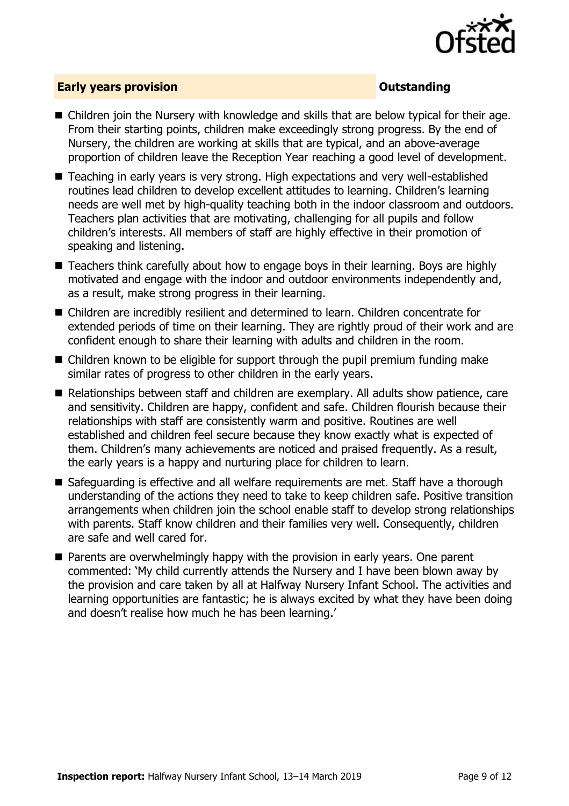

### **Early years provision CONSISTER SERVICES CONSISTENT CONSTANT CONSTANT CONSTANT CONSISTENT CONSISTENT CONSISTENT CONSTANT CONSTANT CONSTANT CONSISTENT CONSTANT CONSTANT CONSTANT CONSTANT CONSTANT CONSTANT CONSTANT CONS**

- Children join the Nursery with knowledge and skills that are below typical for their age. From their starting points, children make exceedingly strong progress. By the end of Nursery, the children are working at skills that are typical, and an above-average proportion of children leave the Reception Year reaching a good level of development.
- Teaching in early years is very strong. High expectations and very well-established routines lead children to develop excellent attitudes to learning. Children's learning needs are well met by high-quality teaching both in the indoor classroom and outdoors. Teachers plan activities that are motivating, challenging for all pupils and follow children's interests. All members of staff are highly effective in their promotion of speaking and listening.
- Teachers think carefully about how to engage boys in their learning. Boys are highly motivated and engage with the indoor and outdoor environments independently and, as a result, make strong progress in their learning.
- Children are incredibly resilient and determined to learn. Children concentrate for extended periods of time on their learning. They are rightly proud of their work and are confident enough to share their learning with adults and children in the room.
- Children known to be eligible for support through the pupil premium funding make similar rates of progress to other children in the early years.
- Relationships between staff and children are exemplary. All adults show patience, care and sensitivity. Children are happy, confident and safe. Children flourish because their relationships with staff are consistently warm and positive. Routines are well established and children feel secure because they know exactly what is expected of them. Children's many achievements are noticed and praised frequently. As a result, the early years is a happy and nurturing place for children to learn.
- Safeguarding is effective and all welfare requirements are met. Staff have a thorough understanding of the actions they need to take to keep children safe. Positive transition arrangements when children join the school enable staff to develop strong relationships with parents. Staff know children and their families very well. Consequently, children are safe and well cared for.
- Parents are overwhelmingly happy with the provision in early years. One parent commented: 'My child currently attends the Nursery and I have been blown away by the provision and care taken by all at Halfway Nursery Infant School. The activities and learning opportunities are fantastic; he is always excited by what they have been doing and doesn't realise how much he has been learning.'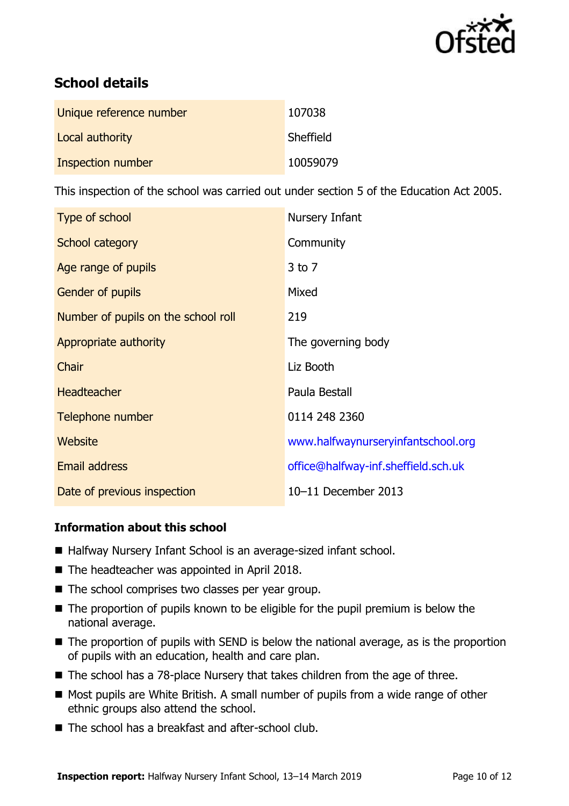

# **School details**

| Unique reference number | 107038    |
|-------------------------|-----------|
| Local authority         | Sheffield |
| Inspection number       | 10059079  |

This inspection of the school was carried out under section 5 of the Education Act 2005.

| Type of school                      | Nursery Infant                      |
|-------------------------------------|-------------------------------------|
| School category                     | Community                           |
| Age range of pupils                 | $3$ to $7$                          |
| <b>Gender of pupils</b>             | Mixed                               |
| Number of pupils on the school roll | 219                                 |
| Appropriate authority               | The governing body                  |
| Chair                               | Liz Booth                           |
| <b>Headteacher</b>                  | Paula Bestall                       |
| Telephone number                    | 0114 248 2360                       |
| <b>Website</b>                      | www.halfwaynurseryinfantschool.org  |
| <b>Email address</b>                | office@halfway-inf.sheffield.sch.uk |
| Date of previous inspection         | 10-11 December 2013                 |

### **Information about this school**

- Halfway Nursery Infant School is an average-sized infant school.
- The headteacher was appointed in April 2018.
- The school comprises two classes per year group.
- The proportion of pupils known to be eligible for the pupil premium is below the national average.
- The proportion of pupils with SEND is below the national average, as is the proportion of pupils with an education, health and care plan.
- The school has a 78-place Nursery that takes children from the age of three.
- Most pupils are White British. A small number of pupils from a wide range of other ethnic groups also attend the school.
- The school has a breakfast and after-school club.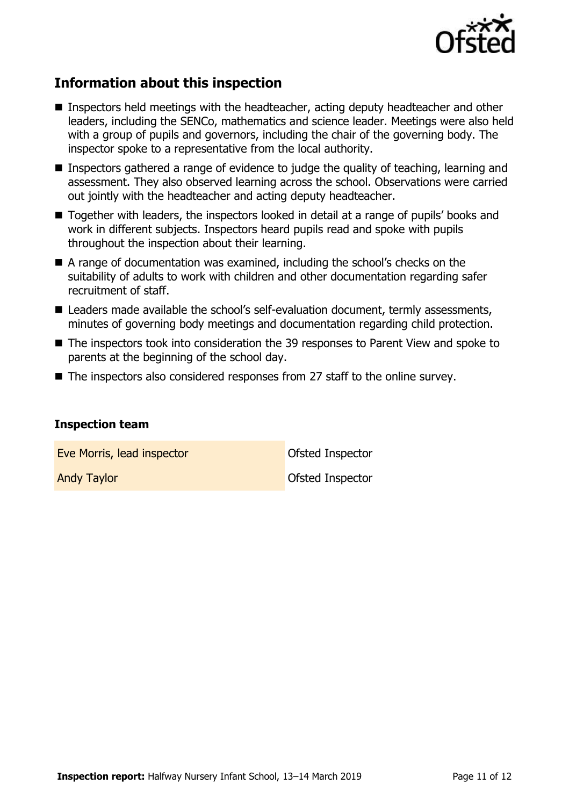

# **Information about this inspection**

- Inspectors held meetings with the headteacher, acting deputy headteacher and other leaders, including the SENCo, mathematics and science leader. Meetings were also held with a group of pupils and governors, including the chair of the governing body. The inspector spoke to a representative from the local authority.
- Inspectors gathered a range of evidence to judge the quality of teaching, learning and assessment. They also observed learning across the school. Observations were carried out jointly with the headteacher and acting deputy headteacher.
- Together with leaders, the inspectors looked in detail at a range of pupils' books and work in different subjects. Inspectors heard pupils read and spoke with pupils throughout the inspection about their learning.
- A range of documentation was examined, including the school's checks on the suitability of adults to work with children and other documentation regarding safer recruitment of staff.
- Leaders made available the school's self-evaluation document, termly assessments, minutes of governing body meetings and documentation regarding child protection.
- The inspectors took into consideration the 39 responses to Parent View and spoke to parents at the beginning of the school day.
- The inspectors also considered responses from 27 staff to the online survey.

#### **Inspection team**

**Eve Morris, lead inspector CEA** COMPORTED THE Ofsted Inspector

**Andy Taylor Contract Contract Contract Contract Contract Contract Contract Contract Contract Contract Contract Contract Contract Contract Contract Contract Contract Contract Contract Contract Contract Contract Contract Co**